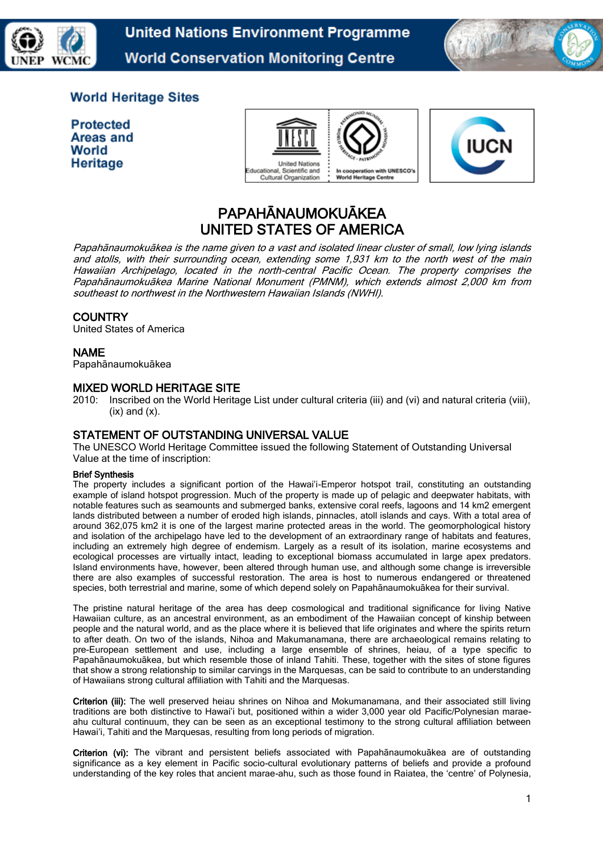

**United Nations Environment Programme World Conservation Monitoring Centre** 



# **World Heritage Sites**

**Protected** Areas and World Heritage





# PAPAHĀNAUMOKUĀKEA UNITED STATES OF AMERICA

Papahānaumokuākea is the name given to a vast and isolated linear cluster of small, low lying islands and atolls, with their surrounding ocean, extending some 1,931 km to the north west of the main Hawaiian Archipelago, located in the north-central Pacific Ocean. The property comprises the Papahānaumokuākea Marine National Monument (PMNM), which extends almost 2,000 km from southeast to northwest in the Northwestern Hawaiian Islands (NWHI).

# **COUNTRY**

United States of America

## NAME

Papahānaumokuākea

## MIXED WORLD HERITAGE SITE

2010: Inscribed on the World Heritage List under cultural criteria (iii) and (vi) and natural criteria (viii),  $(ix)$  and  $(x)$ .

# STATEMENT OF OUTSTANDING UNIVERSAL VALUE

The UNESCO World Heritage Committee issued the following Statement of Outstanding Universal Value at the time of inscription:

#### Brief Synthesis

The property includes a significant portion of the Hawai'i-Emperor hotspot trail, constituting an outstanding example of island hotspot progression. Much of the property is made up of pelagic and deepwater habitats, with notable features such as seamounts and submerged banks, extensive coral reefs, lagoons and 14 km2 emergent lands distributed between a number of eroded high islands, pinnacles, atoll islands and cays. With a total area of around 362,075 km2 it is one of the largest marine protected areas in the world. The geomorphological history and isolation of the archipelago have led to the development of an extraordinary range of habitats and features, including an extremely high degree of endemism. Largely as a result of its isolation, marine ecosystems and ecological processes are virtually intact, leading to exceptional biomass accumulated in large apex predators. Island environments have, however, been altered through human use, and although some change is irreversible there are also examples of successful restoration. The area is host to numerous endangered or threatened species, both terrestrial and marine, some of which depend solely on Papahānaumokuākea for their survival.

The pristine natural heritage of the area has deep cosmological and traditional significance for living Native Hawaiian culture, as an ancestral environment, as an embodiment of the Hawaiian concept of kinship between people and the natural world, and as the place where it is believed that life originates and where the spirits return to after death. On two of the islands, Nihoa and Makumanamana, there are archaeological remains relating to pre-European settlement and use, including a large ensemble of shrines, heiau, of a type specific to Papahānaumokuākea, but which resemble those of inland Tahiti. These, together with the sites of stone figures that show a strong relationship to similar carvings in the Marquesas, can be said to contribute to an understanding of Hawaiians strong cultural affiliation with Tahiti and the Marquesas.

Criterion (iii): The well preserved heiau shrines on Nihoa and Mokumanamana, and their associated still living traditions are both distinctive to Hawai'i but, positioned within a wider 3,000 year old Pacific/Polynesian maraeahu cultural continuum, they can be seen as an exceptional testimony to the strong cultural affiliation between Hawai'i, Tahiti and the Marquesas, resulting from long periods of migration.

Criterion (vi): The vibrant and persistent beliefs associated with Papahānaumokuākea are of outstanding significance as a key element in Pacific socio-cultural evolutionary patterns of beliefs and provide a profound understanding of the key roles that ancient marae-ahu, such as those found in Raiatea, the 'centre' of Polynesia,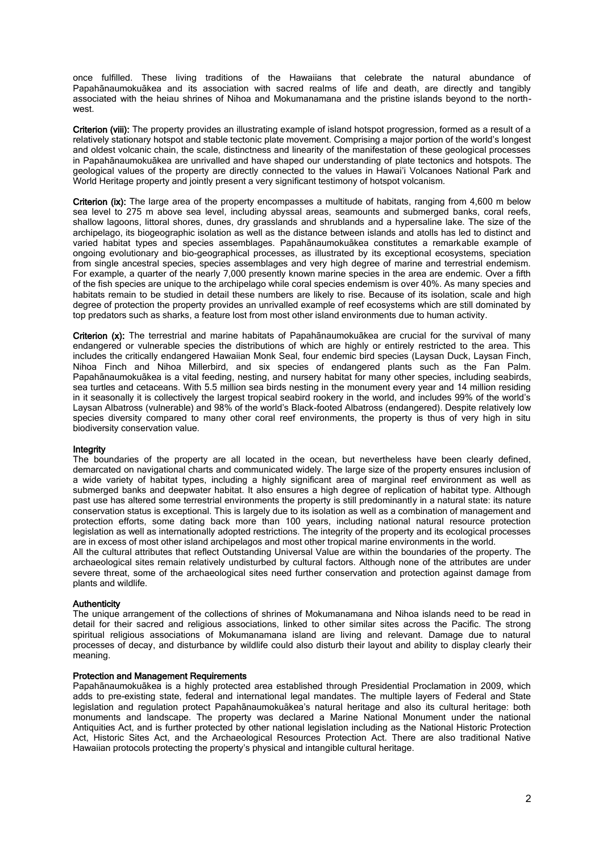once fulfilled. These living traditions of the Hawaiians that celebrate the natural abundance of Papahānaumokuākea and its association with sacred realms of life and death, are directly and tangibly associated with the heiau shrines of Nihoa and Mokumanamana and the pristine islands beyond to the northwest.

Criterion (viii): The property provides an illustrating example of island hotspot progression, formed as a result of a relatively stationary hotspot and stable tectonic plate movement. Comprising a major portion of the world's longest and oldest volcanic chain, the scale, distinctness and linearity of the manifestation of these geological processes in Papahānaumokuākea are unrivalled and have shaped our understanding of plate tectonics and hotspots. The geological values of the property are directly connected to the values in Hawai'i Volcanoes National Park and World Heritage property and jointly present a very significant testimony of hotspot volcanism.

Criterion (ix): The large area of the property encompasses a multitude of habitats, ranging from 4,600 m below sea level to 275 m above sea level, including abyssal areas, seamounts and submerged banks, coral reefs, shallow lagoons, littoral shores, dunes, dry grasslands and shrublands and a hypersaline lake. The size of the archipelago, its biogeographic isolation as well as the distance between islands and atolls has led to distinct and varied habitat types and species assemblages. Papahānaumokuākea constitutes a remarkable example of ongoing evolutionary and bio-geographical processes, as illustrated by its exceptional ecosystems, speciation from single ancestral species, species assemblages and very high degree of marine and terrestrial endemism. For example, a quarter of the nearly 7,000 presently known marine species in the area are endemic. Over a fifth of the fish species are unique to the archipelago while coral species endemism is over 40%. As many species and habitats remain to be studied in detail these numbers are likely to rise. Because of its isolation, scale and high degree of protection the property provides an unrivalled example of reef ecosystems which are still dominated by top predators such as sharks, a feature lost from most other island environments due to human activity.

Criterion (x): The terrestrial and marine habitats of Papahānaumokuākea are crucial for the survival of many endangered or vulnerable species the distributions of which are highly or entirely restricted to the area. This includes the critically endangered Hawaiian Monk Seal, four endemic bird species (Laysan Duck, Laysan Finch, Nihoa Finch and Nihoa Millerbird, and six species of endangered plants such as the Fan Palm. Papahānaumokuākea is a vital feeding, nesting, and nursery habitat for many other species, including seabirds, sea turtles and cetaceans. With 5.5 million sea birds nesting in the monument every year and 14 million residing in it seasonally it is collectively the largest tropical seabird rookery in the world, and includes 99% of the world's Laysan Albatross (vulnerable) and 98% of the world's Black-footed Albatross (endangered). Despite relatively low species diversity compared to many other coral reef environments, the property is thus of very high in situ biodiversity conservation value.

#### Integrity

The boundaries of the property are all located in the ocean, but nevertheless have been clearly defined, demarcated on navigational charts and communicated widely. The large size of the property ensures inclusion of a wide variety of habitat types, including a highly significant area of marginal reef environment as well as submerged banks and deepwater habitat. It also ensures a high degree of replication of habitat type. Although past use has altered some terrestrial environments the property is still predominantly in a natural state: its nature conservation status is exceptional. This is largely due to its isolation as well as a combination of management and protection efforts, some dating back more than 100 years, including national natural resource protection legislation as well as internationally adopted restrictions. The integrity of the property and its ecological processes are in excess of most other island archipelagos and most other tropical marine environments in the world.

All the cultural attributes that reflect Outstanding Universal Value are within the boundaries of the property. The archaeological sites remain relatively undisturbed by cultural factors. Although none of the attributes are under severe threat, some of the archaeological sites need further conservation and protection against damage from plants and wildlife.

#### **Authenticity**

The unique arrangement of the collections of shrines of Mokumanamana and Nihoa islands need to be read in detail for their sacred and religious associations, linked to other similar sites across the Pacific. The strong spiritual religious associations of Mokumanamana island are living and relevant. Damage due to natural processes of decay, and disturbance by wildlife could also disturb their layout and ability to display clearly their meaning.

#### Protection and Management Requirements

Papahānaumokuākea is a highly protected area established through Presidential Proclamation in 2009, which adds to pre-existing state, federal and international legal mandates. The multiple layers of Federal and State legislation and regulation protect Papahānaumokuākea's natural heritage and also its cultural heritage: both monuments and landscape. The property was declared a Marine National Monument under the national Antiquities Act, and is further protected by other national legislation including as the National Historic Protection Act, Historic Sites Act, and the Archaeological Resources Protection Act. There are also traditional Native Hawaiian protocols protecting the property's physical and intangible cultural heritage.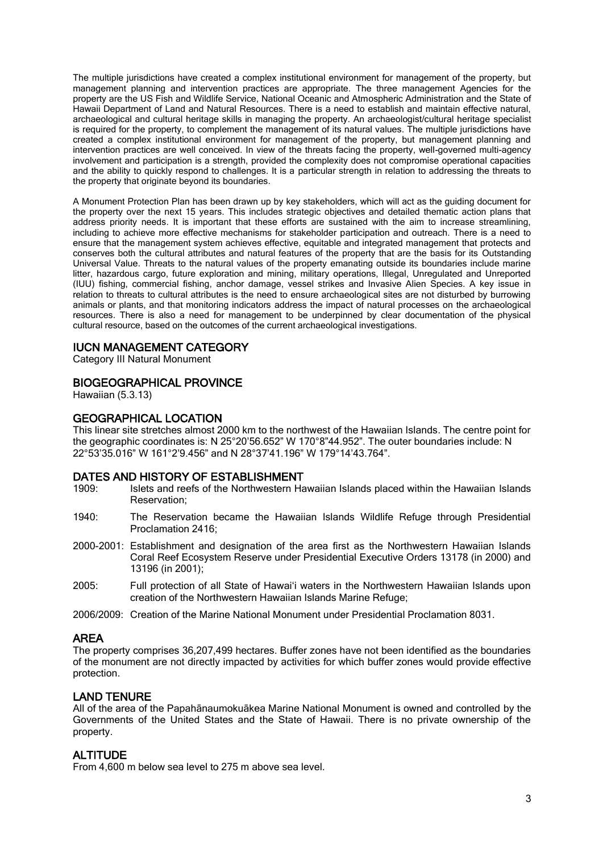The multiple jurisdictions have created a complex institutional environment for management of the property, but management planning and intervention practices are appropriate. The three management Agencies for the property are the US Fish and Wildlife Service, National Oceanic and Atmospheric Administration and the State of Hawaii Department of Land and Natural Resources. There is a need to establish and maintain effective natural, archaeological and cultural heritage skills in managing the property. An archaeologist/cultural heritage specialist is required for the property, to complement the management of its natural values. The multiple jurisdictions have created a complex institutional environment for management of the property, but management planning and intervention practices are well conceived. In view of the threats facing the property, well-governed multi-agency involvement and participation is a strength, provided the complexity does not compromise operational capacities and the ability to quickly respond to challenges. It is a particular strength in relation to addressing the threats to the property that originate beyond its boundaries.

A Monument Protection Plan has been drawn up by key stakeholders, which will act as the guiding document for the property over the next 15 years. This includes strategic objectives and detailed thematic action plans that address priority needs. It is important that these efforts are sustained with the aim to increase streamlining, including to achieve more effective mechanisms for stakeholder participation and outreach. There is a need to ensure that the management system achieves effective, equitable and integrated management that protects and conserves both the cultural attributes and natural features of the property that are the basis for its Outstanding Universal Value. Threats to the natural values of the property emanating outside its boundaries include marine litter, hazardous cargo, future exploration and mining, military operations, Illegal, Unregulated and Unreported (IUU) fishing, commercial fishing, anchor damage, vessel strikes and Invasive Alien Species. A key issue in relation to threats to cultural attributes is the need to ensure archaeological sites are not disturbed by burrowing animals or plants, and that monitoring indicators address the impact of natural processes on the archaeological resources. There is also a need for management to be underpinned by clear documentation of the physical cultural resource, based on the outcomes of the current archaeological investigations.

## IUCN MANAGEMENT CATEGORY

Category III Natural Monument

# BIOGEOGRAPHICAL PROVINCE

Hawaiian (5.3.13)

# GEOGRAPHICAL LOCATION

This linear site stretches almost 2000 km to the northwest of the Hawaiian Islands. The centre point for the geographic coordinates is: N 25°20'56.652" W 170°8"44.952". The outer boundaries include: N 22°53'35.016" W 161°2'9.456" and N 28°37'41.196" W 179°14'43.764".

#### DATES AND HISTORY OF ESTABLISHMENT

- 1909: Islets and reefs of the Northwestern Hawaiian Islands placed within the Hawaiian Islands Reservation;
- 1940: The Reservation became the Hawaiian Islands Wildlife Refuge through Presidential Proclamation 2416;
- 2000-2001: Establishment and designation of the area first as the Northwestern Hawaiian Islands Coral Reef Ecosystem Reserve under Presidential Executive Orders 13178 (in 2000) and 13196 (in 2001);
- 2005: Full protection of all State of Hawai'i waters in the Northwestern Hawaiian Islands upon creation of the Northwestern Hawaiian Islands Marine Refuge;
- 2006/2009: Creation of the Marine National Monument under Presidential Proclamation 8031.

#### AREA

The property comprises 36,207,499 hectares. Buffer zones have not been identified as the boundaries of the monument are not directly impacted by activities for which buffer zones would provide effective protection.

#### LAND TENURE

All of the area of the Papahānaumokuākea Marine National Monument is owned and controlled by the Governments of the United States and the State of Hawaii. There is no private ownership of the property.

# ALTITUDE

From 4,600 m below sea level to 275 m above sea level.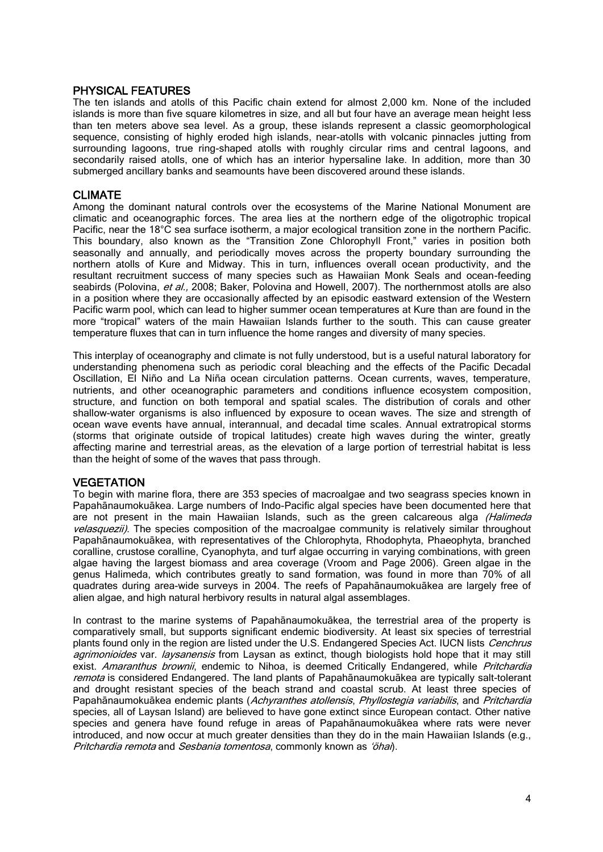## PHYSICAL FEATURES

The ten islands and atolls of this Pacific chain extend for almost 2,000 km. None of the included islands is more than five square kilometres in size, and all but four have an average mean height less than ten meters above sea level. As a group, these islands represent a classic geomorphological sequence, consisting of highly eroded high islands, near-atolls with volcanic pinnacles jutting from surrounding lagoons, true ring-shaped atolls with roughly circular rims and central lagoons, and secondarily raised atolls, one of which has an interior hypersaline lake. In addition, more than 30 submerged ancillary banks and seamounts have been discovered around these islands.

## CLIMATE

Among the dominant natural controls over the ecosystems of the Marine National Monument are climatic and oceanographic forces. The area lies at the northern edge of the oligotrophic tropical Pacific, near the 18°C sea surface isotherm, a major ecological transition zone in the northern Pacific. This boundary, also known as the "Transition Zone Chlorophyll Front," varies in position both seasonally and annually, and periodically moves across the property boundary surrounding the northern atolls of Kure and Midway. This in turn, influences overall ocean productivity, and the resultant recruitment success of many species such as Hawaiian Monk Seals and ocean-feeding seabirds (Polovina, et al., 2008; Baker, Polovina and Howell, 2007). The northernmost atolls are also in a position where they are occasionally affected by an episodic eastward extension of the Western Pacific warm pool, which can lead to higher summer ocean temperatures at Kure than are found in the more "tropical" waters of the main Hawaiian Islands further to the south. This can cause greater temperature fluxes that can in turn influence the home ranges and diversity of many species.

This interplay of oceanography and climate is not fully understood, but is a useful natural laboratory for understanding phenomena such as periodic coral bleaching and the effects of the Pacific Decadal Oscillation, El Niño and La Niña ocean circulation patterns. Ocean currents, waves, temperature, nutrients, and other oceanographic parameters and conditions influence ecosystem composition, structure, and function on both temporal and spatial scales. The distribution of corals and other shallow-water organisms is also influenced by exposure to ocean waves. The size and strength of ocean wave events have annual, interannual, and decadal time scales. Annual extratropical storms (storms that originate outside of tropical latitudes) create high waves during the winter, greatly affecting marine and terrestrial areas, as the elevation of a large portion of terrestrial habitat is less than the height of some of the waves that pass through.

#### **VEGETATION**

To begin with marine flora, there are 353 species of macroalgae and two seagrass species known in Papahānaumokuākea. Large numbers of Indo-Pacific algal species have been documented here that are not present in the main Hawaiian Islands, such as the green calcareous alga (Halimeda velasquezii). The species composition of the macroalgae community is relatively similar throughout Papahānaumokuākea, with representatives of the Chlorophyta, Rhodophyta, Phaeophyta, branched coralline, crustose coralline, Cyanophyta, and turf algae occurring in varying combinations, with green algae having the largest biomass and area coverage (Vroom and Page 2006). Green algae in the genus Halimeda, which contributes greatly to sand formation, was found in more than 70% of all quadrates during area-wide surveys in 2004. The reefs of Papahānaumokuākea are largely free of alien algae, and high natural herbivory results in natural algal assemblages.

In contrast to the marine systems of Papahānaumokuākea, the terrestrial area of the property is comparatively small, but supports significant endemic biodiversity. At least six species of terrestrial plants found only in the region are listed under the U.S. Endangered Species Act. IUCN lists Cenchrus agrimonioides var. laysanensis from Laysan as extinct, though biologists hold hope that it may still exist. Amaranthus brownii, endemic to Nihoa, is deemed Critically Endangered, while Pritchardia remota is considered Endangered. The land plants of Papahānaumokuākea are typically salt-tolerant and drought resistant species of the beach strand and coastal scrub. At least three species of Papahānaumokuākea endemic plants (Achyranthes atollensis, Phyllostegia variabilis, and Pritchardia species, all of Laysan Island) are believed to have gone extinct since European contact. Other native species and genera have found refuge in areas of Papahānaumokuākea where rats were never introduced, and now occur at much greater densities than they do in the main Hawaiian Islands (e.g., Pritchardia remota and Sesbania tomentosa, commonly known as 'öhai).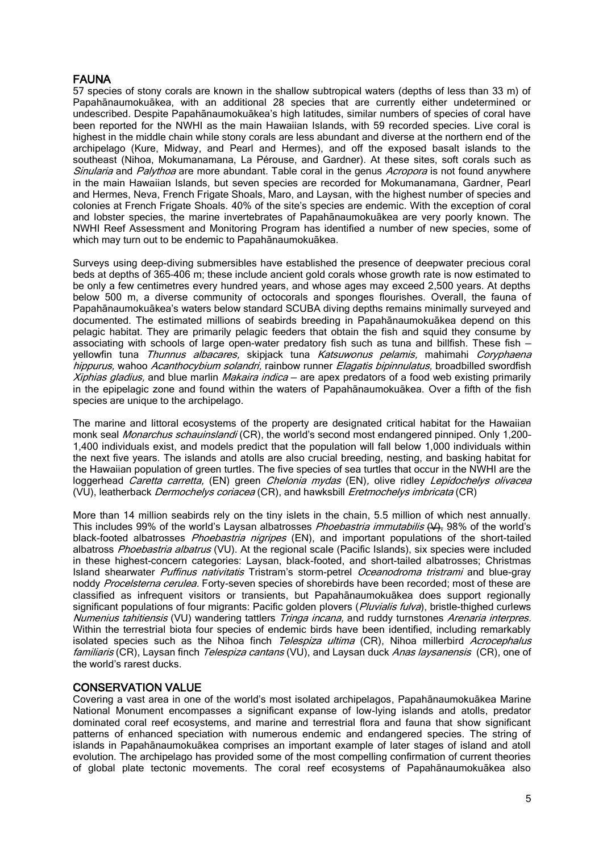# FAUNA

57 species of stony corals are known in the shallow subtropical waters (depths of less than 33 m) of Papahānaumokuākea, with an additional 28 species that are currently either undetermined or undescribed. Despite Papahānaumokuākea's high latitudes, similar numbers of species of coral have been reported for the NWHI as the main Hawaiian Islands, with 59 recorded species. Live coral is highest in the middle chain while stony corals are less abundant and diverse at the northern end of the archipelago (Kure, Midway, and Pearl and Hermes), and off the exposed basalt islands to the southeast (Nihoa, Mokumanamana, La Pérouse, and Gardner). At these sites, soft corals such as Sinularia and Palythoa are more abundant. Table coral in the genus Acropora is not found anywhere in the main Hawaiian Islands, but seven species are recorded for Mokumanamana, Gardner, Pearl and Hermes, Neva, French Frigate Shoals, Maro, and Laysan, with the highest number of species and colonies at French Frigate Shoals. 40% of the site's species are endemic. With the exception of coral and lobster species, the marine invertebrates of Papahānaumokuākea are very poorly known. The NWHI Reef Assessment and Monitoring Program has identified a number of new species, some of which may turn out to be endemic to Papahānaumokuākea.

Surveys using deep-diving submersibles have established the presence of deepwater precious coral beds at depths of 365–406 m; these include ancient gold corals whose growth rate is now estimated to be only a few centimetres every hundred years, and whose ages may exceed 2,500 years. At depths below 500 m, a diverse community of octocorals and sponges flourishes. Overall, the fauna of Papahānaumokuākea's waters below standard SCUBA diving depths remains minimally surveyed and documented. The estimated millions of seabirds breeding in Papahānaumokuākea depend on this pelagic habitat. They are primarily pelagic feeders that obtain the fish and squid they consume by associating with schools of large open-water predatory fish such as tuna and billfish. These fish yellowfin tuna Thunnus albacares, skipjack tuna Katsuwonus pelamis, mahimahi Coryphaena hippurus, wahoo Acanthocybium solandri, rainbow runner Elagatis bipinnulatus, broadbilled swordfish Xiphias gladius, and blue marlin *Makaira indica* – are apex predators of a food web existing primarily in the epipelagic zone and found within the waters of Papahānaumokuākea. Over a fifth of the fish species are unique to the archipelago.

The marine and littoral ecosystems of the property are designated critical habitat for the Hawaiian monk seal *Monarchus schauinslandi* (CR), the world's second most endangered pinniped. Only 1,200-1,400 individuals exist, and models predict that the population will fall below 1,000 individuals within the next five years. The islands and atolls are also crucial breeding, nesting, and basking habitat for the Hawaiian population of green turtles. The five species of sea turtles that occur in the NWHI are the loggerhead Caretta carretta, (EN) green Chelonia mydas (EN), olive ridley Lepidochelys olivacea  $(VU)$ , leatherback *Dermochelys coriacea* (CR), and hawksbill *Eretmochelys imbricata* (CR)

More than 14 million seabirds rely on the tiny islets in the chain, 5.5 million of which nest annually. This includes 99% of the world's Laysan albatrosses *Phoebastria immutabilis* (V), 98% of the world's black-footed albatrosses *Phoebastria nigripes* (EN), and important populations of the short-tailed albatross Phoebastria albatrus (VU). At the regional scale (Pacific Islands), six species were included in these highest-concern categories: Laysan, black-footed, and short-tailed albatrosses; Christmas Island shearwater Puffinus nativitatis Tristram's storm-petrel Oceanodroma tristrami and blue-gray noddy Procelsterna cerulea. Forty-seven species of shorebirds have been recorded; most of these are classified as infrequent visitors or transients, but Papahānaumokuākea does support regionally significant populations of four migrants: Pacific golden plovers (Pluvialis fulva), bristle-thighed curlews Numenius tahitiensis (VU) wandering tattlers Tringa incana, and ruddy turnstones Arenaria interpres. Within the terrestrial biota four species of endemic birds have been identified, including remarkably isolated species such as the Nihoa finch Telespiza ultima (CR), Nihoa millerbird Acrocephalus familiaris (CR), Laysan finch Telespiza cantans (VU), and Laysan duck Anas laysanensis (CR), one of the world's rarest ducks.

# CONSERVATION VALUE

Covering a vast area in one of the world's most isolated archipelagos, Papahānaumokuākea Marine National Monument encompasses a significant expanse of low-lying islands and atolls, predator dominated coral reef ecosystems, and marine and terrestrial flora and fauna that show significant patterns of enhanced speciation with numerous endemic and endangered species. The string of islands in Papahānaumokuākea comprises an important example of later stages of island and atoll evolution. The archipelago has provided some of the most compelling confirmation of current theories of global plate tectonic movements. The coral reef ecosystems of Papahānaumokuākea also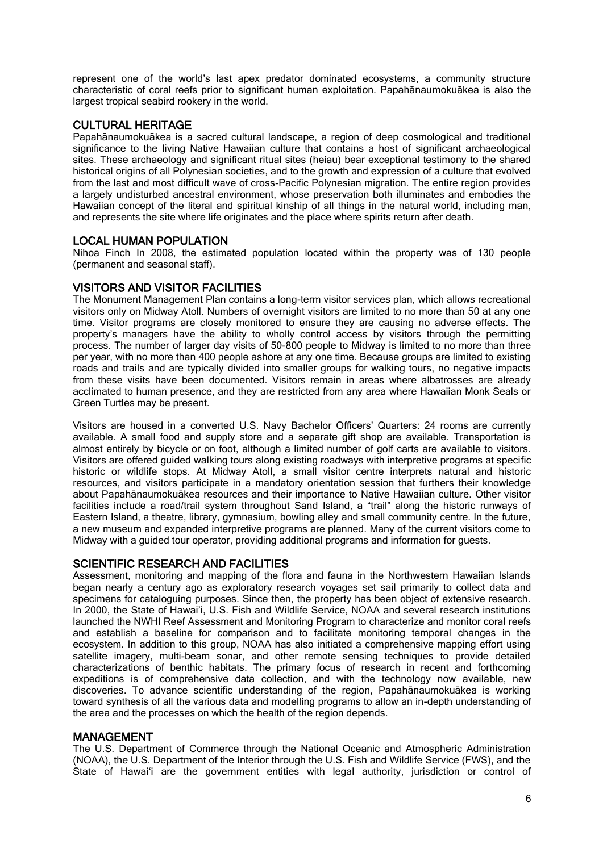represent one of the world's last apex predator dominated ecosystems, a community structure characteristic of coral reefs prior to significant human exploitation. Papahānaumokuākea is also the largest tropical seabird rookery in the world.

# CULTURAL HERITAGE

Papahānaumokuākea is a sacred cultural landscape, a region of deep cosmological and traditional significance to the living Native Hawaiian culture that contains a host of significant archaeological sites. These archaeology and significant ritual sites (heiau) bear exceptional testimony to the shared historical origins of all Polynesian societies, and to the growth and expression of a culture that evolved from the last and most difficult wave of cross-Pacific Polynesian migration. The entire region provides a largely undisturbed ancestral environment, whose preservation both illuminates and embodies the Hawaiian concept of the literal and spiritual kinship of all things in the natural world, including man, and represents the site where life originates and the place where spirits return after death.

# LOCAL HUMAN POPULATION

Nihoa Finch In 2008, the estimated population located within the property was of 130 people (permanent and seasonal staff).

# VISITORS AND VISITOR FACILITIES

The Monument Management Plan contains a long-term visitor services plan, which allows recreational visitors only on Midway Atoll. Numbers of overnight visitors are limited to no more than 50 at any one time. Visitor programs are closely monitored to ensure they are causing no adverse effects. The property's managers have the ability to wholly control access by visitors through the permitting process. The number of larger day visits of 50-800 people to Midway is limited to no more than three per year, with no more than 400 people ashore at any one time. Because groups are limited to existing roads and trails and are typically divided into smaller groups for walking tours, no negative impacts from these visits have been documented. Visitors remain in areas where albatrosses are already acclimated to human presence, and they are restricted from any area where Hawaiian Monk Seals or Green Turtles may be present.

Visitors are housed in a converted U.S. Navy Bachelor Officers' Quarters: 24 rooms are currently available. A small food and supply store and a separate gift shop are available. Transportation is almost entirely by bicycle or on foot, although a limited number of golf carts are available to visitors. Visitors are offered guided walking tours along existing roadways with interpretive programs at specific historic or wildlife stops. At Midway Atoll, a small visitor centre interprets natural and historic resources, and visitors participate in a mandatory orientation session that furthers their knowledge about Papahānaumokuākea resources and their importance to Native Hawaiian culture. Other visitor facilities include a road/trail system throughout Sand Island, a "trail" along the historic runways of Eastern Island, a theatre, library, gymnasium, bowling alley and small community centre. In the future, a new museum and expanded interpretive programs are planned. Many of the current visitors come to Midway with a guided tour operator, providing additional programs and information for guests.

# SCIENTIFIC RESEARCH AND FACILITIES

Assessment, monitoring and mapping of the flora and fauna in the Northwestern Hawaiian Islands began nearly a century ago as exploratory research voyages set sail primarily to collect data and specimens for cataloguing purposes. Since then, the property has been object of extensive research. In 2000, the State of Hawai'i, U.S. Fish and Wildlife Service, NOAA and several research institutions launched the NWHI Reef Assessment and Monitoring Program to characterize and monitor coral reefs and establish a baseline for comparison and to facilitate monitoring temporal changes in the ecosystem. In addition to this group, NOAA has also initiated a comprehensive mapping effort using satellite imagery, multi-beam sonar, and other remote sensing techniques to provide detailed characterizations of benthic habitats. The primary focus of research in recent and forthcoming expeditions is of comprehensive data collection, and with the technology now available, new discoveries. To advance scientific understanding of the region, Papahānaumokuākea is working toward synthesis of all the various data and modelling programs to allow an in-depth understanding of the area and the processes on which the health of the region depends.

#### MANAGEMENT

The U.S. Department of Commerce through the National Oceanic and Atmospheric Administration (NOAA), the U.S. Department of the Interior through the U.S. Fish and Wildlife Service (FWS), and the State of Hawai'i are the government entities with legal authority, jurisdiction or control of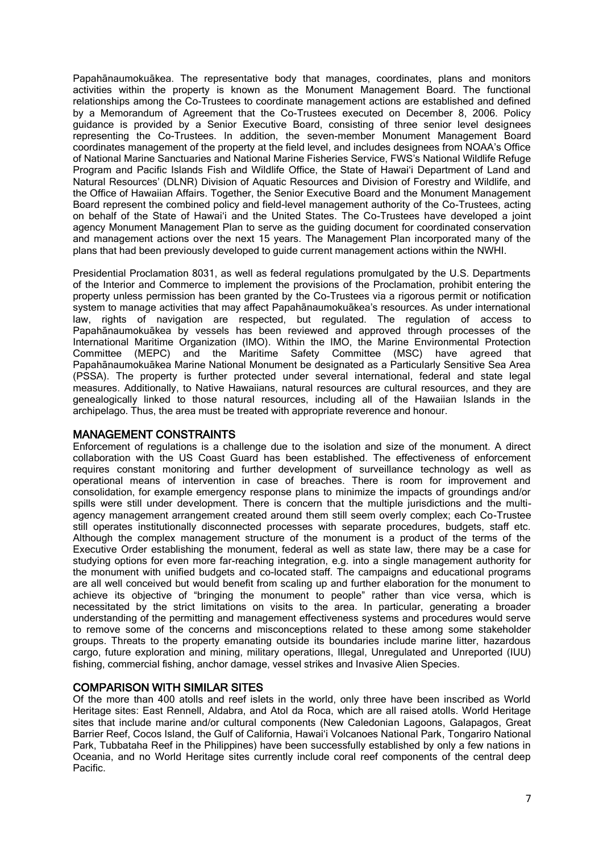Papahānaumokuākea. The representative body that manages, coordinates, plans and monitors activities within the property is known as the Monument Management Board. The functional relationships among the Co-Trustees to coordinate management actions are established and defined by a Memorandum of Agreement that the Co-Trustees executed on December 8, 2006. Policy guidance is provided by a Senior Executive Board, consisting of three senior level designees representing the Co-Trustees. In addition, the seven-member Monument Management Board coordinates management of the property at the field level, and includes designees from NOAA's Office of National Marine Sanctuaries and National Marine Fisheries Service, FWS's National Wildlife Refuge Program and Pacific Islands Fish and Wildlife Office, the State of Hawai'i Department of Land and Natural Resources' (DLNR) Division of Aquatic Resources and Division of Forestry and Wildlife, and the Office of Hawaiian Affairs. Together, the Senior Executive Board and the Monument Management Board represent the combined policy and field-level management authority of the Co-Trustees, acting on behalf of the State of Hawai'i and the United States. The Co-Trustees have developed a joint agency Monument Management Plan to serve as the guiding document for coordinated conservation and management actions over the next 15 years. The Management Plan incorporated many of the plans that had been previously developed to guide current management actions within the NWHI.

Presidential Proclamation 8031, as well as federal regulations promulgated by the U.S. Departments of the Interior and Commerce to implement the provisions of the Proclamation, prohibit entering the property unless permission has been granted by the Co-Trustees via a rigorous permit or notification system to manage activities that may affect Papahānaumokuākea's resources. As under international law, rights of navigation are respected, but regulated. The regulation of access to Papahānaumokuākea by vessels has been reviewed and approved through processes of the International Maritime Organization (IMO). Within the IMO, the Marine Environmental Protection Committee (MEPC) and the Maritime Safety Committee (MSC) have agreed that Papahānaumokuākea Marine National Monument be designated as a Particularly Sensitive Sea Area (PSSA). The property is further protected under several international, federal and state legal measures. Additionally, to Native Hawaiians, natural resources are cultural resources, and they are genealogically linked to those natural resources, including all of the Hawaiian Islands in the archipelago. Thus, the area must be treated with appropriate reverence and honour.

# MANAGEMENT CONSTRAINTS

Enforcement of regulations is a challenge due to the isolation and size of the monument. A direct collaboration with the US Coast Guard has been established. The effectiveness of enforcement requires constant monitoring and further development of surveillance technology as well as operational means of intervention in case of breaches. There is room for improvement and consolidation, for example emergency response plans to minimize the impacts of groundings and/or spills were still under development. There is concern that the multiple jurisdictions and the multiagency management arrangement created around them still seem overly complex; each Co-Trustee still operates institutionally disconnected processes with separate procedures, budgets, staff etc. Although the complex management structure of the monument is a product of the terms of the Executive Order establishing the monument, federal as well as state law, there may be a case for studying options for even more far-reaching integration, e.g. into a single management authority for the monument with unified budgets and co-located staff. The campaigns and educational programs are all well conceived but would benefit from scaling up and further elaboration for the monument to achieve its objective of "bringing the monument to people" rather than vice versa, which is necessitated by the strict limitations on visits to the area. In particular, generating a broader understanding of the permitting and management effectiveness systems and procedures would serve to remove some of the concerns and misconceptions related to these among some stakeholder groups. Threats to the property emanating outside its boundaries include marine litter, hazardous cargo, future exploration and mining, military operations, Illegal, Unregulated and Unreported (IUU) fishing, commercial fishing, anchor damage, vessel strikes and Invasive Alien Species.

# COMPARISON WITH SIMILAR SITES

Of the more than 400 atolls and reef islets in the world, only three have been inscribed as World Heritage sites: East Rennell, Aldabra, and Atol da Roca, which are all raised atolls. World Heritage sites that include marine and/or cultural components (New Caledonian Lagoons, Galapagos, Great Barrier Reef, Cocos Island, the Gulf of California, Hawai'i Volcanoes National Park, Tongariro National Park, Tubbataha Reef in the Philippines) have been successfully established by only a few nations in Oceania, and no World Heritage sites currently include coral reef components of the central deep Pacific.